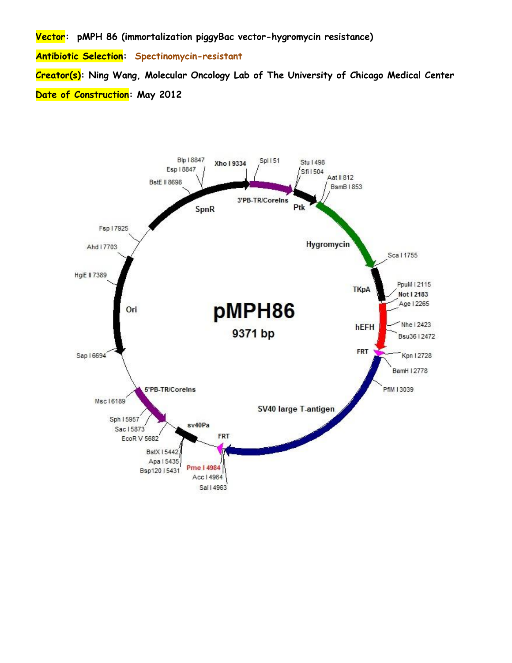**Vector: pMPH 86 (immortalization piggyBac vector-hygromycin resistance)**

**Antibiotic Selection: Spectinomycin-resistant**

**Creator(s): Ning Wang, Molecular Oncology Lab of The University of Chicago Medical Center Date of Construction: May 2012**

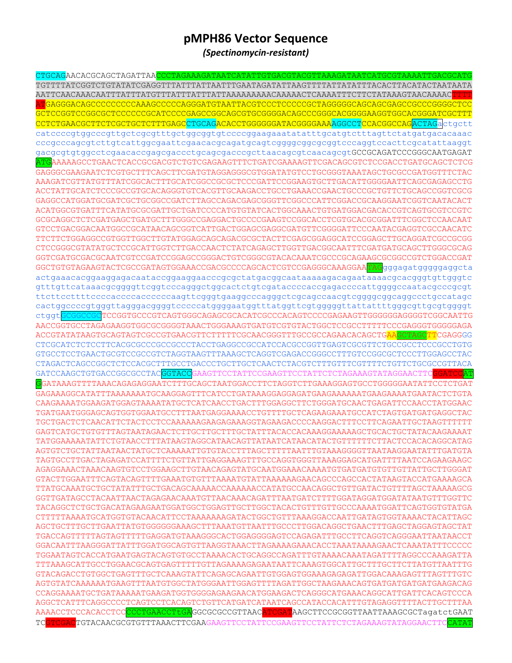## pMPH86 Vector Sequence

(Spectinomycin-resistant)

CTGCAGAACACGCAGCTAGATTAA<mark>CCCTAGAAAGATAATCATATTGTGACGTACGTTAAAGATAATCATGCGTAAAATTGACGCAT</mark> GCTCCGGTCCGGCGCTCCCCCCGCATCCCCGAGCCGGCAGCGTGCGGGACAGCCCGGGCACGGGGAAGGTGGCACGGGATCGCTTT CCTCTGAACGCTTCTCGCTGCTCTTTGAGCCTGCAGACACCTGGGGGGATACGGGGAAAAGGCCTCCACGGCCAG<mark>ACTAG</mark>a ctgctt catccccgtggcccgttgctcgcgtttgctggcggtgtccccggaagaaatatatttgcatgtctttagttctatgatgacacaaac cccgcccagcgtcttgtcattggcgaattcgaacacgcagatgcagtcggggcggcggtgccaggtccacttcgcatattaaggt gacgcgtgtggcctcgaacaccgagcgaccctgcagcgacccgcttaacagcgtcaacagcgtGCCGCAGATCCCGGGCAATGAGAT <mark>ATG</mark>AAAAAGCCTGAACTCACCGCGACGTCTGTCGAGAAGTTTCTGATCGAAAAGTTCGACAGCGTCTCCGACCTGATGCAGCTCTCG GAGGGCGAAGAATCTCGTGCTTTCAGCTTCGATGTAGGAGGCCGTGGATATGTCCTGCGGGTAAATAGCTGCGCCGATGGTTTCTAC AAAGATCGTTATGTTTATCGGCACTTTGCATCGGCCGCGCTCCCGATTCCGGAAGTGCTTGACATTGGGGAATTCAGCGAGAGCCTG GAGGCCATGGATGCGATCGCTGCGGCCGATCTTAGCCAGACGAGCGGGTTCGGCCCATTCGGACCGCAAGGAATCGGTCAATACACT GCGCAGGCTCTCGATGAGCTGATGCTTTGGGCCGAGGACTGCCCCGAAGTCCGGCACCTCGTGCACGCGGATTTCGGCTCCAACAAT GTCCTGACGGACAATGGCCGCATAACAGCGGTCATTGACTGGAGCGAGGCGATGTTCGGGGATTCCCAATACGAGGTCGCCAACATC TTCTTCTGGAGGCCCTGGTTGGCTTGTATGGAGCAGCAGACGCGCTACTTCGAGCGGAGGCATCCGGAGCTTGCAGGATCGCCGCGG CTCCGGGCGTATATGCTCCGCATTGGTCTTGACCAACTCTATCAGAGCTTGGTTGACGGCAATTTCGATGATGCAGCTTGGGCGCAG GGTCGATGCGACGCAATCGTCCGATCCGGAGCCGGACTGTCGGGCGTACACAAATCGCCCGCAGAAGCGCGCCGTCTGGACCGAT GGCTGTGTAGAAGTACTCGCCGATAGTGGAAACCGACGCCCCAGCACTCGTCCGAGGGCAAAGGAA<mark>TAG</mark>gggagatgggggaggcta actgaaacacggaaggagacaataccggaaggaacccgcgctatgacggcaataaaaagacagaataaaacgcacgggtgttgggtc gtttgttcataaacgcggggttcggtcccagggctggcactctgtcgataccccaccgagaccccattggggccaatacgcccgcgt cactggccccgtgggttagggacggggtcccccatggggaatggtttatggttcgtgggggttattattttgggcgttgcgtggggt ctggt TCCGGTGCCCGTCAGTGGGCAGAGCGCACATCGCCCACAGTCCCCGAGAAGTTGGGGGGAGGGGTCGGCAATTG AACCGGTGCCTAGAGAAGGTGGCGCGGGGTAAACTGGAAAGTGATGTCGTGTACTGGCTCCGCCTTTTTCCCGAGGGTGGGGGAGA CTCGCATCTCTCCTTCACGCGCCCGCCGCCCTACCTGAGGCCGCCATCCACGCCGGTTGAGTCGCGTTCTGCCGCCTCCCGCCTGTG GTGCCTCCTGAACTGCGTCCGCCGTCTAGGTAAGTTTAAAGCTCAGGTCGAGACCGGCCTTTGTCCGGCGCTCCCTTGGAGCCTAC GATCCAAGCTGTGACCGGCGCCTACGGTACC SAAGTTCCTATTCCGAAGTTCCTATTCTCTAGAAAGTATAGGAACTTC GGATAAAGTTTTAAACAGAGAGGAATCTTTGCAGCTAATGGACCTTCTAGGTCTTGAAAGGAGTGCCTGGGGGAATATTCCTCTGAT GAGAAAGGCATATTTAAAAAAATGCAAGGAGTTTCATCCTGATAAAGGAGGAGATGAAGAAAAATGAAGAAAATGAATACTCTGTA CAAGAAAATGGAAGATGGAGTAAAATATGCTCATCAACCTGACTTTGGAGGCTTCTGGGATGCAACTGAGATTCCAACCTATGGAAC TGATGAATGGGAGCAGTGGTGGAATGCCTTTAATGAGGAAAACCTGTTTTGCTCAGAAGAAATGCCATCTAGTGATGATGAGGCTAC TGCTGACTCTCAACATTCTACTCCTCCAAAAAAGAAGAGAAAGGTAGAAGACCCCAAGGACTTTCCTTCAGAATTGCTAAGTTTTTT GAGTCATGCTGTGTTTAGTAATAGAACTCTTGCTTGCTTTGCTATTTACACCACAAAGGAAAAAGCTGCACTGCTATACAAGAAAAT TATGGAAAAATATTCTGTAACCTTTATAAGTAGGCATAACAGTTATAATCATAACATACTGTTTTTTCTTACTCCACACAGGCATAG AGTGTCTGCTATTAATAACTATGCTCAAAAATTGTGTACCTTTAGCTTTTAATTTGTAAAGGGGTTAATAAGGAATATTTGATGTA TAGTGCCTTGACTAGAGATCCATTTTCTGTTATTGAGGAAAGTTTGCCAGGTGGGTTAAAGGAGCATGATTTTAATCCAGAAGAAGC AGAGGAAACTAAACAAGTGTCCTGGAAGCTTGTAACAGAGTATGCAATGGAAACAAAATGTGATGTGTTGTTGTTATTGCTTGGGAT GTACTTGGAATTTCAGTACAGTTTTGAAATGTGTTTAAAATGTATTAAAAAAGAACAGCCCAGCCACTATAAGTACCATGAAAAGCA TTATGCAAATGCTGCTATATTTGCTGACAGCAAAAACCAAAAACCATATGCCAACAGGCTGTTGATACTGTTTTAGCTAAAAAGCG CTTTTTAAAATGCATGGTGTACAACATTCCTAAAAAAAGATACTGGCTGTTTAAAGGACCAATTGATAGTGGTAAAACTACATTAGC AGCTGCTTTGCTTGAATTATGTGGGGGGAAAGCTTTAAATGTTAATTTGCCCTTGGACAGGCTGAACTTTGAGCTAGGAGTAGCTAT TGACCAGTTTTTAGTAGTTTTTGAGGATGTAAAGGGCACTGGAGGGGAGTCCAGAGATTTGCCTTCAGGTCAGGGAATTAATAACCT TGGAATAGTCACCATGAATGAGTACAGTGTGCCTAAAACACTGCAGGCCAGATTTGTAAAACAAATAGATTTTAGGCCCAAAGATTA TTTAAAGCATTGCCTGGAACGCAGTGAGTTTTTGTTAGAAAAGAGAATAATTCAAAGTGGCATTGCTTTGCTTCTTATGTTAATTTG GTACAGACCTGTGGCTGAGTTTGCTCAAAGTATTCAGAGCAGAATTGTGGAGTGGAAAGAGAGTTGGACAAAGAGTTTAGTTTGTC AGTGTATCAAAAAATGAAGTTTAATGTGGCTATGGGAATTGGAGTTTTAGATTGGCTAAGAAACAGTGATGATGATGAAGACAG CCAGGAAAATGCTGATAAAAATGAAGATGGTGGGAGAAGAACATGGAAGACTCAGGGCATGAAACAGGCATTGATTCACAGTCCCA AGGCTCATTTCAGGCCCCCTCAGTCCTCACAGTCTGTTCATGATCATAATCAGCCATACCACATTTGTAGAGGTTTTACTTGCTTTAA AAAACCTCCCACACCTCC<mark>CCCTGAACCTtGA</mark>GGCGCGCCGTTAAC<mark>ATCGAT</mark>AAGCTTCCGCGGTTAATTAAAGCGCTagatctGAAT TCGACTGTACAACGCGTGTTTAAACTTCGAAGAAGTTCCTATTCCGAAGTTCCTATTCTCTAGAAAGTATAGGAACTTC  $TC$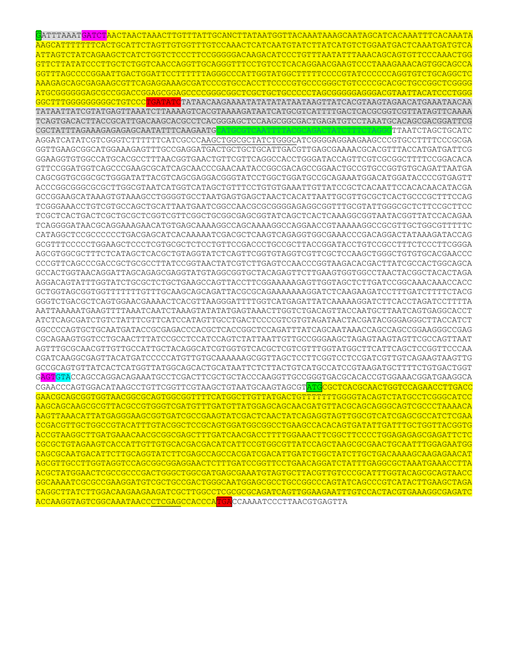GATTTAAATGATCTAACTAACTAAACTTGTTTATTGCANCTTATAATGGTTACAAATAAAGCAATAGCATCACAAATTTCACAAATA AAGCATTTTTTTCACTGCATTCTAGTTGTGGTTTGTCCAAACTCATCAATGTATCTTATCATGTCTGGAATGACTCAAATGATGTCA ATTAGTCTATCAGAAGCTCATCTGGTCTCCCTTCCGGGGGACAAGACATCCCTGTTTAATATTTAAACAGCAGTGTTCCCAAACTGG GTTCTTATATCCCTTGCTCTGGTCAACCAGGTTGCAGGGTTTCCTGTCCTCACAGGAACGAAGTCCCTAAAGAAACAGTGGCAGCCA GGTTTAGCCCCGGAATTGACTGGATTCCTTTTTTAGGGCCCATTGGTATGGCTTTTTCCCCGTATCCCCCCAGGTGTCTGCAGGCTC AAAGAGCAGCGAGAAGCGTTCAGAGGAAAGCGATCCCGTGCCACCTTCCCCGTGCCCGGGCTGTCCCCGCACGCTGCCGGCTCGGGG ATGCGGGGGGAGCGCCGGACCGGAGCGGAGCCCCGGGCGGCTCGCTGCTGCCCCCTAGCGGGGGAGGGACGTAATTACATCCCTGGG <mark>GGCTTTGGGGGGGGGCTGTCCC<mark>TGATATC</mark>TATAACAAGAAAATATATATATAATAAGTTATCACGTAAGTAGAACATGAAATAACAA</mark> TATAATTATCGTATGAGTTAAATCTTAAAAGTCACGTAAAAGATAATCATGCGTCATTTTGACTCACGCGGTCGTTATAGTTCAAAA TCAGTGACACTTACCGCATTGACAAGCACGCCTCACGGGAGCTCCAAGCGGCGACTGAGATGTCCTAAATGCACAGCGACGGATTCG CGCTATTTAGAAAGAGAGAGCAATATTTCAAGAATGCATGCGTCAATTTTACGCAGACTATCTTTCTAGGGTTAATCTAGCTGCATC AGGATCATATCGTCGGGTCTTTTTTCATCGCCCAAGCTGGCGCTATCTGGGCATCGGGGAGGAAGAAGCCCGTGCCTTTTCCCGCGA GGTTGAAGCGGCATGGAAAGAGTTTGCCGAGGATGACTGCTGCTGCATTGACGTTGAGCGAAAACGCACGTTTACCATGATGATTCG GGAAGGTGTGGCCATGCACGCCTTTAACGGTGAACTGTTCGTTCAGGCCACCTGGGATACCAGTTCGTCGCGGCTTTTCCGGACACA GTTCCGGATGGTCAGCCCGAAGCGCATCAGCAACCCGAACAATACCGGCGACAGCCGGAACTGCCGTGCCGGTGTGCAGATTAATGA CAGCGGTGCGGCGCTGGGATATTACGTCAGCGAGGACGGGTATCCTGGCTGGATGCCGCAGAAATGGACATGGATACCCCGTGAGTT ACCCGGCGGGCGCGCTTGGCGTAATCATGGTCATAGCTGTTTCCTGTGTGAAATTGTTATCCGCTCACAATTCCACACAACATACGA GCCGGAAGCATAAAGTGTAAAGCCTGGGGTGCCTAATGAGTGAGCTAACTCACATTAATTGCGTTGCGCTCACTGCCCGCTTTCCAG TCGGGAAACCTGTCGTGCCAGCTGCATTAATGAATCGGCCAACGCGCGGGGAGAGGCGGTTTGCGTATTGGGCGCTCTTCCGCTTCC TCGCTCACTGACTCGCTGCGCTCGGTCGTTCGGCTGCGGCGAGCGGTATCAGCTCACTCAAAGGCGGTAATACGGTTATCCACAGAA TCAGGGGATAACGCAGGAAAGAACATGTGAGCAAAAGGCCAGCAAAAGGCCAGGAACCGTAAAAAGGCCGCGTTGCTGGCGTTTTTC CATAGGCTCCGCCCCCCTGACGAGCATCACAAAAATCGACGCTCAAGTCAGAGGTGGCGAAACCCGACAGGACTATAAAGATACCAG GCGTTTCCCCCTGGAAGCTCCCTCGTGCGCTCTCCTGTTCCGACCCTGCCGCTTACCGGATACCTGTCCGCCTTTCTCCCTTCGGGA AGCGTGGCGCTTTCTCATAGCTCACGCTGTAGGTATCTCAGTTCGGTGTAGGTCGTTCGCTCCAAGCTGGGCTGTGTGCACGAACCC CCCGTTCAGCCCGACCGCTGCGCCTTATCCGGTAACTATCGTCTTGAGTCCAACCCGGTAAGACACGACTTATCGCCACTGGCAGCA GCCACTGGTAACAGGATTAGCAGAGCGAGGTATGTAGGCGGTGCTACAGAGTTCTTGAAGTGGTGGCCTAACTACGGCTACACTAGA AGGACAGTATTTGGTATCTGCGCTCTGCTGAAGCCAGTTACCTTCGGAAAAAGAGTTGGTAGCTCTTGATCCGGCAAACAAACCACC GCTGGTAGCGGTGGTTTTTTTGTTTGCAAGCAGCAGATTACGCGCAGAAAAAAAGGATCTCAAGAAGATCCTTTGATCTTTTCTACG GGGTCTGACGCTCAGTGGAACGAAAACTCACGTTAAGGGATTTTGGTCATGAGATTATCAAAAAGGATCTTCACCTAGATCCTTTTA AATTAAAAATGAAGTTTTAAATCAATCTAAAGTATATATGAGTAAACTTGGTCTGACAGTTACCAATGCTTAATCAGTGAGGCACCT ATCTCAGCGATCTGTCTATTTCGTTCATCCATAGTTGCCTGACTCCCCGTCGTGTAGATAACTACGATACGGGAGGGCTTACCATCT GGCCCCAGTGCTGCAATGATACCGCGAGACCCACGCTCACCGGCTCCAGATTTATCAGCAATAAACCAGCCAGCCGGAAGGGCCGAG CGCAGAAGTGGTCCTGCAACTTTATCCGCCTCCATCCAGTCTATTAATTGTTGCCGGGAAGCTAGAGTAAGTAGTTCGCCAGTTAAT AGTTTGCGCAACGTTGTTGCCATTGCTACAGGCATCGTGGTGTCACGCTCGTCGTTTGGTATGGCTTCATTCAGCTCCGGTTCCCAA CGATCAAGGCGAGTTACATGATCCCCCATGTTGTGCAAAAAAGCGGTTAGCTCCTTCGGTCCTCCGATCGTTGTCAGAAGTAAGTTG GCCGCAGTGTTATCACTCATGGTTATGGCAGCACTGCATAATTCTCTTACTGTCATGCCATCCGTAAGATGCTTTTCTGTGACTGGT GAGTGTACCAGCCAGGACAGAAATGCCTCGACTTCGCTGCTACCCAAGGTTGCCGGGTGACGCACACCGTGGAAACGGATGAAGGCA CGAACCCAGTGGACATAAGCCTGTTCGGTTCGTAAGCTGTAATGCAAGTAGCGTATGCGCTCACGCAACTGGTCCAGAACCTTGACC GAACGCAGCGGTGGTAACGGCGCAGTGGCGGTTTTCATGGCTTGTTATGACTGTTTTTTTGGGGTACAGTCTATGCCTCGGGCATCC AAGCAGCAAGCGCGTTACGCCGTGGGTCGATGTTTGATGTTATGGAGCAGCAACGATGTTACGCAGCAGGGCAGTCGCCCTAAAACA AAGTTAAACATTATGAGGGAAGCGGTGATCGCCGAAGTATCGACTCAACTATCAGAGGTAGTTGGCGTCATCGAGCGCCATCTCGAA CCGACGTTGCTGGCCGTACATTTGTACGGCTCCGCAGTGGATGGCGGCCTGAAGCCACACAGTGATATTGATTTGCTGGTTACGGTG ACCGTAAGGCTTGATGAAACAACGCGGCGAGCTTTGATCAACGACCTTTTGGAAACTTCGGCTTCCCCTGGAGAGAGCGAGATTCTC CGCGCTGTAGAAGTCACCATTGTTGTGCACGACGACATCATTCCGTGGCGTTATCCAGCTAAGCGCGAACTGCAATTTGGAGAATGG CAGCGCAATGACATTCTTGCAGGTATCTTCGAGCCAGCCACGATCGACATTGATCTGGCTATCTTGCTGACAAAAGCAAGAGAACAT AGCGTTGCCTTGGTAGGTCCAGCGGCGGAGGAACTCTTTGATCCGGTTCCTGAACAGGATCTATTTGAGGCGCTAAATGAAACCTTA ACGCTATGGAACTCGCCGCCCGACTGGGCTGGCGATGAGCGAAATGTAGTGCTTACGTTGTCCCGCATTTGGTACAGCGCAGTAACC GGCAAAATCGCGCCGAAGGATGTCGCTGCCGACTGGGCAATGGAGCGCCTGCCGGCCCAGTATCAGCCCGTCATACTTGAAGCTAGA CAGGCTTATCTTGGACAAGAAGAAGATCGCTTGGCCTCGCGCGCAGATCAGTTGGAAGAATTTGTCCACTACGTGAAAGGCGAGATC ACCAAGGTAGTCGGCAAATAACCCTCGAGCCACCCATGACCAAAATCCCTTAACGTGAGTTA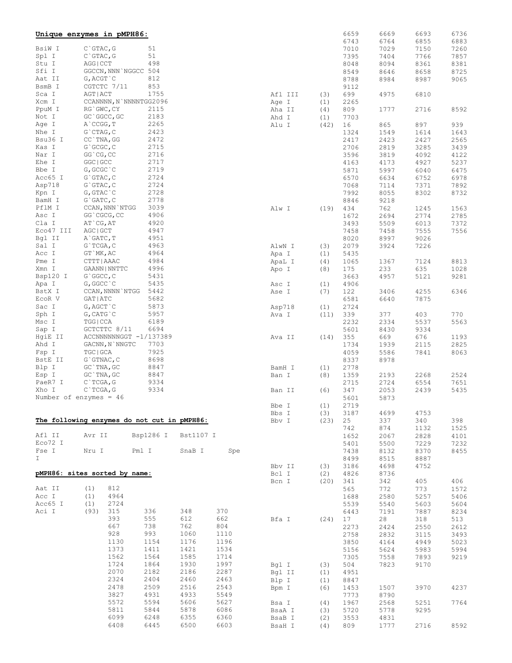|           | Unique enzymes in pMPH86:     |                                             |           |      |         |      | 6659 | 6669 | 6693 | 6736 |
|-----------|-------------------------------|---------------------------------------------|-----------|------|---------|------|------|------|------|------|
|           |                               |                                             |           |      |         |      | 6743 | 6764 | 6855 | 6883 |
| BsiW I    | $C$ GTAC, G                   | 51                                          |           |      |         |      | 7010 | 7029 | 7150 | 7260 |
| Spl I     | $C$ GTAC, G                   | 51                                          |           |      |         |      | 7395 | 7404 | 7766 | 7857 |
| Stu I     | AGG   CCT                     | 498                                         |           |      |         |      | 8048 | 8094 | 8361 | 8381 |
| Sfi I     | GGCCN, NNN NGGCC 504          |                                             |           |      |         |      | 8549 | 8646 | 8658 | 8725 |
| Aat II    | $G$ , $ACGT$ $C$              | 812                                         |           |      |         |      | 8788 | 8984 | 8987 | 9065 |
| BsmB I    | CGTCTC 7/11                   | 853                                         |           |      |         |      | 9112 |      |      |      |
| Sca I     | AGT   ACT                     | 1755                                        |           |      | Afl III | (3)  | 699  | 4975 | 6810 |      |
| Xcm I     |                               | CCANNNN, N`NNNNTGG2096                      |           |      | Age I   | (1)  | 2265 |      |      |      |
| PpuM I    | RG`GWC, CY                    | 2115                                        |           |      | Aha II  | (4)  | 809  | 1777 | 2716 | 8592 |
| Not I     | GC `GGCC, GC                  | 2183                                        |           |      | Ahd I   | (1)  | 7703 |      |      |      |
| Age I     | $A$ $CCGG, T$                 | 2265                                        |           |      | Alu I   | (42) | 16   | 865  | 897  | 939  |
| Nhe I     | $G$ CTAG, $C$                 | 2423                                        |           |      |         |      | 1324 | 1549 | 1614 | 1643 |
| Bsu36 I   | CC `TNA, GG                   | 2472                                        |           |      |         |      | 2417 | 2423 | 2427 | 2565 |
| Kas I     | G`GCGC, C                     | 2715                                        |           |      |         |      | 2706 | 2819 | 3285 | 3439 |
| Nar I     | GG CG, CC                     | 2716                                        |           |      |         |      | 3596 | 3819 | 4092 | 4122 |
| Ehe I     | GGC   GCC                     | 2717                                        |           |      |         |      | 4163 | 4173 | 4927 | 5237 |
| Bbe I     | G, GCGC `C                    | 2719                                        |           |      |         |      | 5871 | 5997 | 6040 | 6475 |
| Acc65 I   | $G$ GTAC, $C$                 | 2724                                        |           |      |         |      | 6570 | 6634 | 6752 | 6978 |
| Asp718    | $G$ GTAC, $C$                 | 2724                                        |           |      |         |      | 7068 | 7114 | 7371 | 7892 |
| Kpn I     | $G$ , $G$ TAC $C$             | 2728                                        |           |      |         |      | 7992 | 8055 | 8302 | 8732 |
| BamH I    | $G$ $GATC$ , $C$              | 2778                                        |           |      |         |      | 8846 | 9218 |      |      |
| PflM I    | CCAN, NNN `NTGG               | 3039                                        |           |      | Alw I   | (19) | 434  | 762  | 1245 | 1563 |
| Asc I     | GG`CGCG, CC                   | 4906                                        |           |      |         |      | 1672 | 2694 | 2774 | 2785 |
| Cla I     | AT CG, AT                     | 4920                                        |           |      |         |      | 3493 | 5509 | 6013 | 7372 |
| Eco47 III | AGC   GCT                     | 4947                                        |           |      |         |      | 7458 | 7458 | 7555 | 7556 |
| Bgl II    | A GATC, T                     | 4951                                        |           |      |         |      | 8020 | 8997 | 9026 |      |
| Sal I     | $G$ `TCGA, C                  | 4963                                        |           |      | AlwN I  | (3)  | 2079 | 3924 | 7226 |      |
| Acc I     | GT `MK, AC                    | 4964                                        |           |      | Apa I   | (1)  | 5435 |      |      |      |
| Pme I     | CTTT   AAAC                   | 4984                                        |           |      | ApaL I  | (4)  | 1065 | 1367 | 7124 | 8813 |
| Xmn I     | GAANN   NNTTC                 | 4996                                        |           |      | Apo I   | (8)  | 175  | 233  | 635  | 1028 |
| Bsp120 I  | G`GGCC, C                     | 5431                                        |           |      |         |      | 3663 | 4957 | 5121 | 9281 |
| Apa I     | G, GGCC `C                    | 5435                                        |           |      | Asc I   | (1)  | 4906 |      |      |      |
| BstX I    | CCAN, NNNN `NTGG              | 5442                                        |           |      | Ase I   | (7)  | 122  | 3406 | 4255 | 6346 |
| ECOR V    | GAT   ATC                     | 5682                                        |           |      |         |      | 6581 | 6640 | 7875 |      |
| Sac I     | G, AGCT `C                    | 5873                                        |           |      | Asp718  | (1)  | 2724 |      |      |      |
| Sph I     | $G$ , CAT $G$ $C$             | 5957                                        |           |      | Ava I   | (11) | 339  | 377  | 403  | 770  |
| Msc I     | TGG   CCA                     | 6189                                        |           |      |         |      | 2232 | 2334 | 5537 | 5563 |
| Sap I     | GCTCTTC 8/11                  | 6694                                        |           |      |         |      | 5601 | 8430 | 9334 |      |
| HgiE II   |                               | ACCNNNNNNGGT -1/137389                      |           |      | Ava II  | (14) | 355  | 669  | 676  | 1193 |
| Ahd I     | GACNN, N`NNGTC                | 7703                                        |           |      |         |      | 1734 | 1939 | 2115 | 2825 |
| Fsp I     | TGC   GCA                     | 7925                                        |           |      |         |      | 4059 | 5586 | 7841 | 8063 |
| BstE II   | $G$ GTNAC, $C$                | 8698                                        |           |      |         |      | 8337 | 8978 |      |      |
| Blp I     | GC TNA, GC                    | 8847                                        |           |      | BamH I  | (1)  | 2778 |      |      |      |
| Esp I     | $GC$ `TNA, $GC$               | 8847                                        |           |      | Ban I   | (8)  | 1359 | 2193 | 2268 | 2524 |
| PaeR7 I   | $C$ TCGA, G                   | 9334                                        |           |      |         |      | 2715 | 2724 | 6554 | 7651 |
| Xho I     | $C$ TCGA, G                   | 9334                                        |           |      | Ban II  | (6)  | 347  | 2053 | 2439 | 5435 |
|           | Number of enzymes = $46$      |                                             |           |      |         |      | 5601 | 5873 |      |      |
|           |                               |                                             |           |      | Bbe I   | (1)  | 2719 |      |      |      |
|           |                               |                                             |           |      | Bbs I   | (3)  | 3187 | 4699 | 4753 |      |
|           |                               | The following enzymes do not cut in pMPH86: |           |      | Bbv I   | (23) | 25   | 337  | 340  | 398  |
|           |                               |                                             |           |      |         |      | 742  | 874  | 1132 | 1525 |
| Afl II    | Avr II                        | Bsp1286 I                                   | Bst1107 I |      |         |      | 1652 | 2067 | 2828 | 4101 |
| Eco72 I   |                               |                                             |           |      |         |      | 5401 | 5500 | 7229 | 7232 |
| Fse I     | Nru I                         | Pml I                                       | SnaB I    | Spe  |         |      | 7438 | 8132 | 8370 | 8455 |
| I.        |                               |                                             |           |      |         |      | 8499 | 8515 | 8887 |      |
|           |                               |                                             |           |      | Bbv II  | (3)  | 3186 | 4698 | 4752 |      |
|           | pMPH86: sites sorted by name: |                                             |           |      | Bcl I   | (2)  | 4826 | 8736 |      |      |
|           |                               |                                             |           |      | Bcn I   | (20) | 341  | 342  | 405  | 406  |
| Aat II    | 812<br>(1)                    |                                             |           |      |         |      | 565  | 772  | 773  | 1572 |
| Acc I     | (1)<br>4964                   |                                             |           |      |         |      | 1688 | 2580 | 5257 | 5406 |
| Acc65 I   | (1)<br>2724                   |                                             |           |      |         |      | 5539 | 5540 | 5603 | 5604 |
| Aci I     | (93)<br>315                   | 336                                         | 348       | 370  |         |      | 6443 | 7191 | 7887 | 8234 |
|           | 393                           | 555                                         | 612       | 662  | Bfa I   | (24) | 17   | 28   | 318  | 513  |
|           | 667                           | 738                                         | 762       | 804  |         |      | 2273 | 2424 | 2550 | 2612 |
|           | 928                           | 993                                         | 1060      | 1110 |         |      | 2758 | 2832 | 3115 | 3493 |
|           | 1130                          | 1154                                        | 1176      | 1196 |         |      | 3850 | 4164 | 4949 | 5023 |
|           | 1373                          | 1411                                        | 1421      | 1534 |         |      | 5156 | 5624 | 5983 | 5994 |
|           | 1562                          | 1564                                        | 1585      | 1714 |         |      | 7305 | 7558 | 7893 | 9219 |
|           | 1724                          | 1864                                        | 1930      | 1997 | Bgl I   | (3)  | 504  | 7823 | 9170 |      |
|           | 2070                          | 2182                                        | 2186      | 2287 | Bgl II  | (1)  | 4951 |      |      |      |
|           | 2324                          | 2404                                        | 2460      | 2463 | Blp I   | (1)  | 8847 |      |      |      |
|           | 2478                          | 2509                                        | 2516      | 2543 | Bpm I   | (6)  | 1453 | 1507 | 3970 | 4237 |
|           | 3827                          | 4931                                        | 4933      | 5549 |         |      | 7773 | 8790 |      |      |
|           | 5572                          | 5594                                        | 5606      | 5627 | Bsa I   | (4)  | 1967 | 2568 | 5251 | 7764 |
|           | 5811                          | 5844                                        | 5878      | 6086 | BsaA I  | (3)  | 5720 | 5778 | 9295 |      |
|           | 6099                          | 6248                                        | 6355      | 6360 | BsaB I  | (2)  | 3553 | 4831 |      |      |
|           | 6408                          | 6445                                        | 6500      | 6603 | BsaH I  | (4)  | 809  | 1777 | 2716 | 8592 |
|           |                               |                                             |           |      |         |      |      |      |      |      |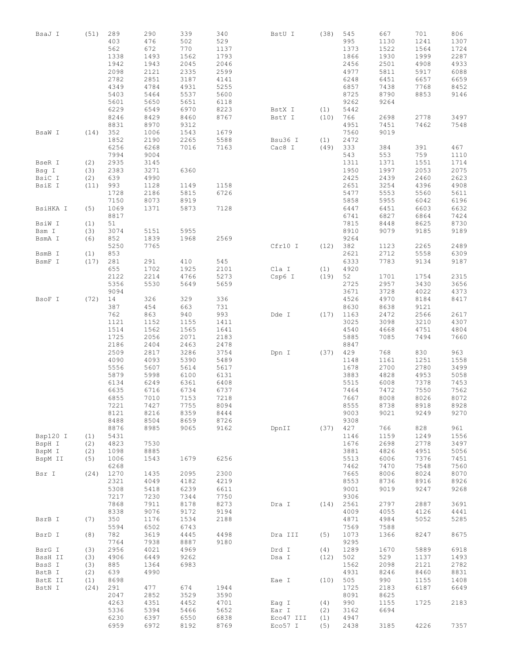| BsaJ I   | (51) | 289<br>403<br>562 | 290<br>476<br>672 | 339<br>502<br>770 | 340<br>529<br>1137 | BstU I    | (38) | 545<br>995<br>1373 | 667<br>1130<br>1522 | 701<br>1241<br>1564 | 806<br>1307<br>1724 |
|----------|------|-------------------|-------------------|-------------------|--------------------|-----------|------|--------------------|---------------------|---------------------|---------------------|
|          |      | 1338              | 1493              | 1562              |                    |           |      |                    |                     |                     |                     |
|          |      |                   |                   |                   | 1793               |           |      | 1866               | 1930                | 1999                | 2287                |
|          |      | 1942              | 1943              | 2045              | 2046               |           |      | 2456               | 2501                | 4908                | 4933                |
|          |      | 2098              | 2121              | 2335              | 2599               |           |      | 4977               | 5811                | 5917                | 6088                |
|          |      | 2782              | 2851              | 3187              | 4141               |           |      | 6248               | 6451                | 6657                | 6659                |
|          |      | 4349              | 4784              | 4931              | 5255               |           |      | 6857               | 7438                | 7768                | 8452                |
|          |      | 5403              | 5464              | 5537              | 5600               |           |      | 8725               | 8790                | 8853                | 9146                |
|          |      | 5601              | 5650              | 5651              | 6118               |           |      | 9262               | 9264                |                     |                     |
|          |      | 6229              | 6549              | 6970              | 8223               | BstX I    | (1)  | 5442               |                     |                     |                     |
|          |      | 8246              | 8429              | 8460              | 8767               | BstY I    | (10) | 766                | 2698                | 2778                | 3497                |
|          |      | 8831              | 8970              | 9312              |                    |           |      | 4951               | 7451                | 7462                | 7548                |
| BsaW I   | (14) | 352               | 1006              | 1543              | 1679               |           |      | 7560               | 9019                |                     |                     |
|          |      | 1852              | 2190              | 2265              | 5588               | Bsu36 I   | (1)  | 2472               |                     |                     |                     |
|          |      | 6256              | 6268              | 7016              | 7163               | Cac8 I    | (49) | 333                | 384                 | 391                 | 467                 |
|          |      | 7994              | 9004              |                   |                    |           |      | 543                | 553                 | 759                 | 1110                |
| BseR I   | (2)  | 2935              | 3145              |                   |                    |           |      | 1311               | 1371                | 1551                | 1714                |
| Bsg I    | (3)  | 2383              | 3271              | 6360              |                    |           |      | 1950               | 1997                | 2053                | 2075                |
| BsiC I   | (2)  | 639               | 4990              |                   |                    |           |      | 2425               | 2439                | 2460                | 2623                |
| BsiE I   | (11) | 993               | 1128              | 1149              | 1158               |           |      | 2651               | 3254                | 4396                | 4908                |
|          |      | 1728              | 2186              | 5815              | 6726               |           |      | 5477               | 5553                | 5560                | 5611                |
|          |      | 7150              | 8073              | 8919              |                    |           |      | 5858               | 5955                | 6042                | 6196                |
| BsiHKA I | (5)  | 1069              | 1371              | 5873              | 7128               |           |      | 6447               | 6451                | 6603                | 6632                |
|          |      | 8817              |                   |                   |                    |           |      | 6741               | 6827                | 6864                | 7424                |
| BsiW I   | (1)  | 51                |                   |                   |                    |           |      | 7815               | 8448                | 8625                | 8730                |
| Bsm I    | (3)  | 3074              | 5151              | 5955              |                    |           |      | 8910               | 9079                | 9185                | 9189                |
| BsmA I   | (6)  | 852               | 1839              | 1968              | 2569               |           |      | 9264               |                     |                     |                     |
|          |      | 5250              | 7765              |                   |                    | Cfr10 I   |      | 382                | 1123                | 2265                | 2489                |
|          |      |                   |                   |                   |                    |           | (12) |                    |                     |                     |                     |
| BsmB I   | (1)  | 853               |                   |                   |                    |           |      | 2621               | 2712                | 5558                | 6309                |
| BsmF I   | (17) | 281               | 291               | 410               | 545                |           |      | 6333               | 7783                | 9134                | 9187                |
|          |      | 655               | 1702              | 1925              | 2101               | Cla I     | (1)  | 4920               |                     |                     |                     |
|          |      | 2122              | 2214              | 4766              | 5273               | Csp6 I    | (19) | $52\,$             | 1701                | 1754                | 2315                |
|          |      | 5356              | 5530              | 5649              | 5659               |           |      | 2725               | 2957                | 3430                | 3656                |
|          |      | 9094              |                   |                   |                    |           |      | 3671               | 3728                | 4022                | 4373                |
| BsoF I   | (72) | 14                | 326               | 329               | 336                |           |      | 4526               | 4970                | 8184                | 8417                |
|          |      | 387               | 454               | 663               | 731                |           |      | 8630               | 8638                | 9121                |                     |
|          |      | 762               | 863               | 940               | 993                | Dde I     | (17) | 1163               | 2472                | 2566                | 2617                |
|          |      | 1121              | 1152              | 1155              | 1411               |           |      | 3025               | 3098                | 3210                | 4307                |
|          |      | 1514              | 1562              | 1565              | 1641               |           |      | 4540               | 4668                | 4751                | 4804                |
|          |      | 1725              | 2056              | 2071              | 2183               |           |      | 5885               | 7085                | 7494                | 7660                |
|          |      | 2186              | 2404              | 2463              | 2478               |           |      | 8847               |                     |                     |                     |
|          |      | 2509              | 2817              | 3286              | 3754               | Dpn I     | (37) | 429                | 768                 | 830                 | 963                 |
|          |      | 4090              | 4093              | 5390              | 5489               |           |      | 1148               | 1161                | 1251                | 1558                |
|          |      | 5556              | 5607              | 5614              | 5617               |           |      | 1678               | 2700                | 2780                | 3499                |
|          |      | 5879              | 5998              | 6100              | 6131               |           |      | 3883               | 4828                | 4953                | 5058                |
|          |      | 6134              | 6249              | 6361              | 6408               |           |      | 5515               | 6008                | 7378                | 7453                |
|          |      | 6635              | 6716              | 6734              | 6737               |           |      | 7464               | 7472                | 7550                | 7562                |
|          |      | 6855              | 7010              | 7153              | 7218               |           |      | 7667               | 8008                | 8026                | 8072                |
|          |      | 7221              | 7427              | 7755              | 8094               |           |      | 8555               | 8738                | 8918                | 8928                |
|          |      | 8121              | 8216              | 8359              | 8444               |           |      | 9003               | 9021                | 9249                | 9270                |
|          |      | 8488              | 8504              | 8659              | 8726               |           |      | 9308               |                     |                     |                     |
|          |      | 8876              | 8985              | 9065              | 9162               | DpnII     | (37) | 427                | 766                 | 828                 | 961                 |
| Bsp120 I | (1)  | 5431              |                   |                   |                    |           |      | 1146               | 1159                | 1249                | 1556                |
| BspH I   | (2)  | 4823              | 7530              |                   |                    |           |      | 1676               | 2698                | 2778                | 3497                |
|          |      | 1098              | 8885              |                   |                    |           |      | 3881               | 4826                | 4951                | 5056                |
| BspM I   | (2)  | 1006              | 1543              | 1679              | 6256               |           |      | 5513               | 6006                | 7376                | 7451                |
| BspM II  | (5)  |                   |                   |                   |                    |           |      |                    |                     |                     |                     |
|          |      | 6268              |                   |                   |                    |           |      | 7462               | 7470                | 7548                | 7560                |
| Bsr I    | (24) | 1270              | 1435              | 2095              | 2300               |           |      | 7665               | 8006                | 8024                | 8070                |
|          |      | 2321              | 4049              | 4182              | 4219               |           |      | 8553               | 8736                | 8916                | 8926                |
|          |      | 5308              | 5418              | 6239              | 6611               |           |      | 9001               | 9019                | 9247                | 9268                |
|          |      | 7217              | 7230              | 7344              | 7750               |           |      | 9306               |                     |                     |                     |
|          |      | 7868              | 7911              | 8178              | 8273               | Dra I     | (14) | 2561               | 2797                | 2887                | 3691                |
|          |      | 8338              | 9076              | 9172              | 9194               |           |      | 4009               | 4055                | 4126                | 4441                |
| BsrB I   | (7)  | 350               | 1176              | 1534              | 2188               |           |      | 4871               | 4984                | 5052                | 5285                |
|          |      | 5594              | 6502              | 6743              |                    |           |      | 7569               | 7588                |                     |                     |
| BsrD I   | (8)  | 782               | 3619              | 4445              | 4498               | Dra III   | (5)  | 1073               | 1366                | 8247                | 8675                |
|          |      | 7764              | 7938              | 8887              | 9180               |           |      | 9295               |                     |                     |                     |
| BsrG I   | (3)  | 2956              | 4021              | 4969              |                    | Drd I     | (4)  | 1289               | 1670                | 5889                | 6918                |
| BssH II  | (3)  | 4906              | 6449              | 9262              |                    | Dsa I     | (12) | 502                | 529                 | 1137                | 1493                |
| BssS I   | (3)  | 885               | 1364              | 6983              |                    |           |      | 1562               | 2098                | 2121                | 2782                |
| BstB I   | (2)  | 639               | 4990              |                   |                    |           |      | 4931               | 8246                | 8460                | 8831                |
| BstE II  | (1)  | 8698              |                   |                   |                    | Eae I     | (10) | 505                | 990                 | 1155                | 1408                |
| BstN I   | (24) | 291               | 477               | 674               | 1944               |           |      | 1725               | 2183                | 6187                | 6649                |
|          |      | 2047              | 2852              | 3529              | 3590               |           |      | 8091               | 8625                |                     |                     |
|          |      | 4263              | 4351              | 4452              | 4701               | Eag I     | (4)  | 990                | 1155                | 1725                | 2183                |
|          |      | 5336              | 5394              | 5466              | 5652               | Ear I     | (2)  | 3162               | 6694                |                     |                     |
|          |      | 6230              | 6397              | 6550              | 6838               | Eco47 III | (1)  | 4947               |                     |                     |                     |
|          |      | 6959              | 6972              | 8192              | 8769               | Eco57 I   | (5)  | 2438               | 3185                | 4226                | 7357                |
|          |      |                   |                   |                   |                    |           |      |                    |                     |                     |                     |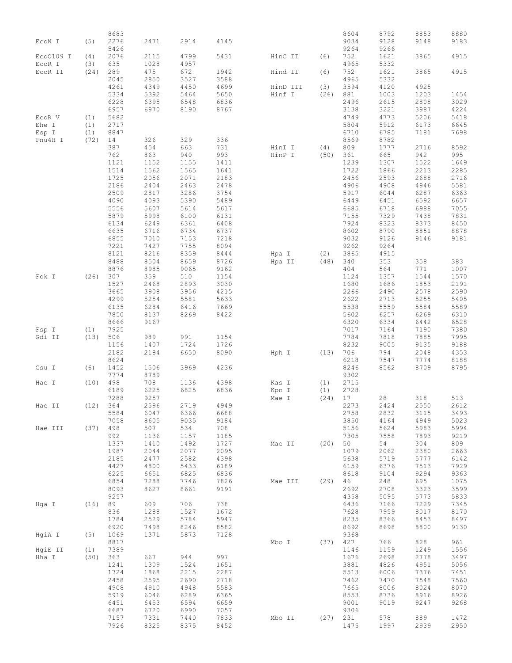|           | (5)        | 8683<br>2276 | 2471 | 2914 | 4145 |          |            | 8604<br>9034 | 8792<br>9128 | 8853<br>9148 | 8880<br>9183 |
|-----------|------------|--------------|------|------|------|----------|------------|--------------|--------------|--------------|--------------|
| ECON I    |            | 5426         |      |      |      |          |            | 9264         | 9266         |              |              |
| Eco0109 I | (4)        | 2076         | 2115 | 4799 | 5431 | HinC II  | (6)        | 752          | 1621         | 3865         | 4915         |
| EcoR I    | (3)        | 635          | 1028 | 4957 |      |          |            | 4965         | 5332         |              |              |
| ECOR II   | (24)       | 289          | 475  | 672  | 1942 | Hind II  | (6)        | 752          | 1621         | 3865         | 4915         |
|           |            |              |      |      |      |          |            |              |              |              |              |
|           |            | 2045         | 2850 | 3527 | 3588 |          |            | 4965         | 5332         |              |              |
|           |            | 4261         | 4349 | 4450 | 4699 | HinD III | (3)        | 3594         | 4120         | 4925         |              |
|           |            | 5334         | 5392 | 5464 | 5650 | Hinf I   | (26)       | 881          | 1003         | 1203         | 1454         |
|           |            | 6228         | 6395 | 6548 | 6836 |          |            | 2496         | 2615         | 2808         | 3029         |
|           |            | 6957         | 6970 | 8190 | 8767 |          |            | 3138         | 3221         | 3987         | 4224         |
| ECOR V    | (1)        | 5682         |      |      |      |          |            | 4749         | 4773         | 5206         | 5418         |
| Ehe I     | (1)        | 2717         |      |      |      |          |            | 5804         | 5912         | 6173         | 6645         |
| Esp I     | (1)        | 8847         |      |      |      |          |            | 6710         | 6785         | 7181         | 7698         |
| Fnu4H I   | (72)       | 14           | 326  | 329  | 336  |          |            | 8569         | 8782         |              |              |
|           |            | 387          | 454  | 663  | 731  | HinI I   | (4)        | 809          | 1777         | 2716         | 8592         |
|           |            | 762          | 863  | 940  | 993  | HinP I   | (50)       | 361          | 665          | 942          | 995          |
|           |            | 1121         | 1152 | 1155 | 1411 |          |            | 1239         | 1307         | 1522         | 1649         |
|           |            | 1514         | 1562 | 1565 | 1641 |          |            | 1722         | 1866         | 2213         | 2285         |
|           |            | 1725         | 2056 | 2071 | 2183 |          |            | 2456         | 2593         | 2688         | 2716         |
|           |            | 2186         | 2404 | 2463 | 2478 |          |            | 4906         | 4908         | 4946         | 5581         |
|           |            | 2509         | 2817 | 3286 | 3754 |          |            | 5917         | 6044         | 6287         | 6363         |
|           |            | 4090         | 4093 | 5390 | 5489 |          |            | 6449         | 6451         | 6592         | 6657         |
|           |            | 5556         | 5607 | 5614 | 5617 |          |            | 6685         | 6718         | 6988         | 7055         |
|           |            | 5879         | 5998 | 6100 | 6131 |          |            | 7155         | 7329         | 7438         | 7831         |
|           |            |              |      |      |      |          |            | 7924         |              |              |              |
|           |            | 6134         | 6249 | 6361 | 6408 |          |            |              | 8323         | 8373         | 8450         |
|           |            | 6635         | 6716 | 6734 | 6737 |          |            | 8602         | 8790         | 8851         | 8878         |
|           |            | 6855         | 7010 | 7153 | 7218 |          |            | 9032         | 9126         | 9146         | 9181         |
|           |            | 7221         | 7427 | 7755 | 8094 |          |            | 9262         | 9264         |              |              |
|           |            | 8121         | 8216 | 8359 | 8444 | Hpa I    | (2)        | 3865         | 4915         |              |              |
|           |            | 8488         | 8504 | 8659 | 8726 | Hpa II   | (48)       | 340          | 353          | 358          | 383          |
|           |            | 8876         | 8985 | 9065 | 9162 |          |            | 404          | 564          | 771          | 1007         |
| Fok I     | (26)       | 307          | 359  | 510  | 1154 |          |            | 1124         | 1357         | 1544         | 1570         |
|           |            | 1527         | 2468 | 2893 | 3030 |          |            | 1680         | 1686         | 1853         | 2191         |
|           |            | 3665         | 3908 | 3956 | 4215 |          |            | 2266         | 2490         | 2578         | 2590         |
|           |            | 4299         | 5254 | 5581 | 5633 |          |            | 2622         | 2713         | 5255         | 5405         |
|           |            | 6135         | 6284 | 6416 | 7669 |          |            | 5538         | 5559         | 5584         | 5589         |
|           |            | 7850         | 8137 | 8269 | 8422 |          |            | 5602         | 6257         | 6269         | 6310         |
|           |            | 8666         | 9167 |      |      |          |            | 6320         | 6334         | 6442         | 6528         |
| Fsp I     | (1)        | 7925         |      |      |      |          |            | 7017         | 7164         | 7190         | 7380         |
| Gdi II    | (13)       | 506          | 989  | 991  | 1154 |          |            | 7784         | 7818         | 7885         | 7995         |
|           |            | 1156         | 1407 | 1724 | 1726 |          |            | 8232         | 9005         | 9135         | 9188         |
|           |            | 2182         | 2184 | 6650 | 8090 | Hph I    | (13)       | 706          | 794          | 2048         | 4353         |
|           |            | 8624         |      |      |      |          |            | 6218         |              |              | 8188         |
|           |            |              |      |      |      |          |            |              | 7547         | 7774         |              |
| Gsu I     | (6)        | 1452         | 1506 | 3969 | 4236 |          |            | 8246         | 8562         | 8709         | 8795         |
|           |            | 7774         | 8789 |      |      |          |            | 9302         |              |              |              |
| Hae I     | (10)       | 498          | 708  | 1136 | 4398 | Kas I    | (1)        | 2715         |              |              |              |
|           |            | 6189         | 6225 | 6825 | 6836 | Kpn I    | (1)        | 2728         |              |              |              |
|           |            | 7288         | 9257 |      |      | Mae I    | (24)       | 17           | 28           | 318          | 513          |
| Hae II    |            | (12) 364     | 2596 | 2719 | 4949 |          |            | 2273         | 2424         | 2550         | 2612         |
|           |            | 5584         | 6047 | 6366 | 6688 |          |            | 2758         | 2832         | 3115         | 3493         |
|           |            | 7058         | 8605 | 9035 | 9184 |          |            | 3850         | 4164         | 4949         | 5023         |
| Hae III   | $(37)$ 498 |              | 507  | 534  | 708  |          |            | 5156         | 5624         | 5983         | 5994         |
|           |            | 992          | 1136 | 1157 | 1185 |          |            | 7305         | 7558         | 7893         | 9219         |
|           |            | 1337         | 1410 | 1492 | 1727 | Mae II   | $(20)$ 50  |              | 54           | 304          | 809          |
|           |            | 1987         | 2044 | 2077 | 2095 |          |            | 1079         | 2062         | 2380         | 2663         |
|           |            | 2185         | 2477 | 2582 | 4398 |          |            | 5638         | 5719         | 5777         | 6142         |
|           |            | 4427         | 4800 | 5433 | 6189 |          |            | 6159         | 6376         | 7513         | 7929         |
|           |            | 6225         | 6651 | 6825 | 6836 |          |            | 8618         | 9104         | 9294         | 9363         |
|           |            | 6854         | 7288 | 7746 | 7826 | Mae III  | (29)       | 46           | 248          | 695          | 1075         |
|           |            | 8093         | 8627 | 8661 | 9191 |          |            | 2692         | 2708         | 3323         | 3599         |
|           |            | 9257         |      |      |      |          |            | 4358         | 5095         | 5773         | 5833         |
|           |            |              |      |      |      |          |            |              |              |              |              |
| Hga I     | $(16)$ 89  |              | 609  | 706  | 738  |          |            | 6436         | 7166         | 7229         | 7345         |
|           |            | 836          | 1288 | 1527 | 1672 |          |            | 7628         | 7959         | 8017         | 8170         |
|           |            | 1784         | 2529 | 5784 | 5947 |          |            | 8235         | 8366         | 8453         | 8497         |
|           |            | 6920         | 7498 | 8246 | 8582 |          |            | 8692         | 8698         | 8800         | 9130         |
| HgiA I    | (5)        | 1069         | 1371 | 5873 | 7128 |          |            | 9368         |              |              |              |
|           |            | 8817         |      |      |      | Mbo I    | (37)       | 427          | 766          | 828          | 961          |
| HqiE II   | (1)        | 7389         |      |      |      |          |            | 1146         | 1159         | 1249         | 1556         |
| Hha I     | $(50)$ 363 |              | 667  | 944  | 997  |          |            | 1676         | 2698         | 2778         | 3497         |
|           |            | 1241         | 1309 | 1524 | 1651 |          |            | 3881         | 4826         | 4951         | 5056         |
|           |            | 1724         | 1868 | 2215 | 2287 |          |            | 5513         | 6006         | 7376         | 7451         |
|           |            | 2458         | 2595 | 2690 | 2718 |          |            | 7462         | 7470         | 7548         | 7560         |
|           |            | 4908         | 4910 | 4948 | 5583 |          |            | 7665         | 8006         | 8024         | 8070         |
|           |            | 5919         | 6046 | 6289 | 6365 |          |            | 8553         | 8736         | 8916         | 8926         |
|           |            | 6451         | 6453 | 6594 | 6659 |          |            | 9001         | 9019         | 9247         | 9268         |
|           |            | 6687         | 6720 | 6990 | 7057 |          |            | 9306         |              |              |              |
|           |            | 7157         | 7331 | 7440 | 7833 | Mbo II   | $(27)$ 231 |              | 578          | 889          | 1472         |
|           |            | 7926         | 8325 | 8375 | 8452 |          |            | 1475         | 1997         | 2939         | 2950         |
|           |            |              |      |      |      |          |            |              |              |              |              |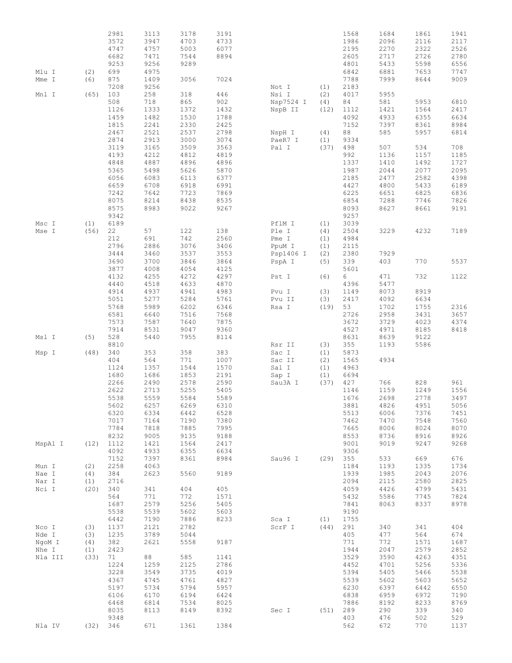|         |      | 2981 | 3113 | 3178 | 3191 |                            |      | 1568   | 1684 | 1861 | 1941 |
|---------|------|------|------|------|------|----------------------------|------|--------|------|------|------|
|         |      | 3572 | 3947 | 4703 | 4733 |                            |      | 1986   | 2096 | 2116 | 2117 |
|         |      | 4747 | 4757 | 5003 | 6077 |                            |      | 2195   | 2270 | 2322 |      |
|         |      |      |      |      |      |                            |      |        |      |      | 2526 |
|         |      | 6682 | 7471 | 7544 | 8894 |                            |      | 2605   | 2717 | 2726 | 2780 |
|         |      | 9253 | 9256 | 9289 |      |                            |      | 4801   | 5433 | 5598 | 6556 |
| Mlu I   | (2)  | 699  | 4975 |      |      |                            |      | 6842   | 6881 | 7653 | 7747 |
| Mme I   | (6)  | 875  | 1409 | 3056 | 7024 |                            |      | 7788   | 7999 | 8644 | 9009 |
|         |      | 7208 | 9256 |      |      | Not I                      | (1)  | 2183   |      |      |      |
| Mnl I   | (65) | 103  | 258  | 318  | 446  |                            | (2)  | 4017   | 5955 |      |      |
|         |      | 508  |      |      |      |                            |      |        |      |      |      |
|         |      |      | 718  | 865  | 902  | Nsp7524 I                  | (4)  | 84     | 581  | 5953 | 6810 |
|         |      | 1126 | 1333 | 1372 | 1432 | NspB II                    | (12) | 1112   | 1421 | 1564 | 2417 |
|         |      | 1459 | 1482 | 1530 | 1788 |                            |      | 4092   | 4933 | 6355 | 6634 |
|         |      | 1815 | 2241 | 2330 | 2425 |                            |      | 7152   | 7397 | 8361 | 8984 |
|         |      | 2467 | 2521 | 2537 | 2798 | NspH I                     | (4)  | $8\,8$ | 585  | 5957 | 6814 |
|         |      | 2874 | 2913 | 3000 | 3074 | PaeR7 I                    | (1)  | 9334   |      |      |      |
|         |      | 3119 |      |      |      | Pal I                      |      |        |      |      |      |
|         |      |      | 3165 | 3509 | 3563 |                            | (37) | 498    | 507  | 534  | 708  |
|         |      | 4193 | 4212 | 4812 | 4819 |                            |      | 992    | 1136 | 1157 | 1185 |
|         |      | 4848 | 4887 | 4896 | 4896 |                            |      | 1337   | 1410 | 1492 | 1727 |
|         |      | 5365 | 5498 | 5626 | 5870 |                            |      | 1987   | 2044 | 2077 | 2095 |
|         |      | 6056 | 6083 | 6113 | 6377 |                            |      | 2185   | 2477 | 2582 | 4398 |
|         |      | 6659 | 6708 | 6918 | 6991 |                            |      | 4427   | 4800 | 5433 | 6189 |
|         |      | 7242 | 7642 | 7723 | 7869 |                            |      | 6225   | 6651 | 6825 | 6836 |
|         |      |      |      |      |      |                            |      |        |      |      |      |
|         |      | 8075 | 8214 | 8438 | 8535 |                            |      | 6854   | 7288 | 7746 | 7826 |
|         |      | 8575 | 8983 | 9022 | 9267 |                            |      | 8093   | 8627 | 8661 | 9191 |
|         |      | 9342 |      |      |      |                            |      | 9257   |      |      |      |
| Msc I   | (1)  | 6189 |      |      |      | PflM I                     | (1)  | 3039   |      |      |      |
| Mse I   | (56) | 22   | 57   | 122  | 138  | Ple I                      | (4)  | 2504   | 3229 | 4232 | 7189 |
|         |      | 212  | 691  | 742  | 2560 | Pme I                      | (1)  | 4984   |      |      |      |
|         |      |      |      |      |      |                            |      |        |      |      |      |
|         |      | 2796 | 2886 | 3076 | 3406 | PpuM I                     | (1)  | 2115   |      |      |      |
|         |      | 3444 | 3460 | 3537 | 3553 | Psp1406 I                  | (2)  | 2380   | 7929 |      |      |
|         |      | 3690 | 3700 | 3846 | 3864 | PspA I                     | (5)  | 339    | 403  | 770  | 5537 |
|         |      | 3877 | 4008 | 4054 | 4125 |                            |      | 5601   |      |      |      |
|         |      | 4132 | 4255 | 4272 | 4297 | Pst I                      | (6)  | 6      | 471  | 732  | 1122 |
|         |      | 4440 | 4518 | 4633 | 4870 |                            |      | 4396   | 5477 |      |      |
|         |      |      |      |      |      |                            |      |        |      |      |      |
|         |      | 4914 | 4937 | 4941 | 4983 | $\mbox{Pvu}$<br>$\mbox{I}$ | (3)  | 1149   | 8073 | 8919 |      |
|         |      | 5051 | 5277 | 5284 | 5761 | Pvu II                     | (3)  | 2417   | 4092 | 6634 |      |
|         |      | 5768 | 5989 | 6202 | 6346 | Rsa I                      | (19) | 53     | 1702 | 1755 | 2316 |
|         |      | 6581 | 6640 | 7516 | 7568 |                            |      | 2726   | 2958 | 3431 | 3657 |
|         |      | 7573 | 7587 | 7640 | 7875 |                            |      | 3672   | 3729 | 4023 | 4374 |
|         |      | 7914 |      |      |      |                            |      |        |      |      |      |
|         |      |      | 8531 | 9047 | 9360 |                            |      | 4527   | 4971 | 8185 | 8418 |
| Msl I   | (5)  | 528  | 5440 | 7955 | 8114 |                            |      | 8631   | 8639 | 9122 |      |
|         |      | 8810 |      |      |      | Rsr II                     | (3)  | 355    | 1193 | 5586 |      |
| Msp I   | (48) | 340  | 353  | 358  | 383  | Sac I                      | (1)  | 5873   |      |      |      |
|         |      | 404  | 564  | 771  | 1007 | Sac II                     | (2)  | 1565   | 4934 |      |      |
|         |      | 1124 | 1357 | 1544 | 1570 | Sal I                      | (1)  | 4963   |      |      |      |
|         |      | 1680 | 1686 | 1853 | 2191 | Sap I                      | (1)  | 6694   |      |      |      |
|         |      |      |      |      | 2590 |                            |      |        |      |      |      |
|         |      | 2266 | 2490 | 2578 |      | Sau3A I                    | (37) | 427    | 766  | 828  | 961  |
|         |      | 2622 | 2713 | 5255 | 5405 |                            |      | 1146   | 1159 | 1249 | 1556 |
|         |      | 5538 | 5559 | 5584 | 5589 |                            |      | 1676   | 2698 | 2778 | 3497 |
|         |      | 5602 | 6257 | 6269 | 6310 |                            |      | 3881   | 4826 | 4951 | 5056 |
|         |      | 6320 | 6334 | 6442 | 6528 |                            |      | 5513   | 6006 | 7376 | 7451 |
|         |      | 7017 | 7164 | 7190 | 7380 |                            |      | 7462   | 7470 | 7548 | 7560 |
|         |      |      |      |      |      |                            |      |        |      |      |      |
|         |      | 7784 | 7818 | 7885 | 7995 |                            |      | 7665   | 8006 | 8024 | 8070 |
|         |      | 8232 | 9005 | 9135 | 9188 |                            |      | 8553   | 8736 | 8916 | 8926 |
| MspA1 I | (12) | 1112 | 1421 | 1564 | 2417 |                            |      | 9001   | 9019 | 9247 | 9268 |
|         |      | 4092 | 4933 | 6355 | 6634 |                            |      | 9306   |      |      |      |
|         |      | 7152 | 7397 | 8361 | 8984 | Sau96 I                    | (29) | 355    | 533  | 669  | 676  |
|         |      | 2258 | 4063 |      |      |                            |      | 1184   | 1193 | 1335 | 1734 |
| Mun I   | (2)  |      |      |      |      |                            |      |        |      |      |      |
| Nae I   | (4)  | 384  | 2623 | 5560 | 9189 |                            |      | 1939   | 1985 | 2043 | 2076 |
| Nar I   | (1)  | 2716 |      |      |      |                            |      | 2094   | 2115 | 2580 | 2825 |
| Nci I   | (20) | 340  | 341  | 404  | 405  |                            |      | 4059   | 4426 | 4799 | 5431 |
|         |      | 564  | 771  | 772  | 1571 |                            |      | 5432   | 5586 | 7745 | 7824 |
|         |      | 1687 | 2579 | 5256 | 5405 |                            |      | 7841   | 8063 | 8337 | 8978 |
|         |      |      |      |      |      |                            |      |        |      |      |      |
|         |      | 5538 | 5539 | 5602 | 5603 |                            |      | 9190   |      |      |      |
|         |      | 6442 | 7190 | 7886 | 8233 | Sca I                      | (1)  | 1755   |      |      |      |
| Nco I   | (3)  | 1137 | 2121 | 2782 |      | ScrF I                     | (44) | 291    | 340  | 341  | 404  |
| Nde I   | (3)  | 1235 | 3789 | 5044 |      |                            |      | 405    | 477  | 564  | 674  |
| NgoM I  | (4)  | 382  | 2621 | 5558 | 9187 |                            |      | 771    | 772  | 1571 | 1687 |
|         |      |      |      |      |      |                            |      |        |      |      |      |
| Nhe I   | (1)  | 2423 |      |      |      |                            |      | 1944   | 2047 | 2579 | 2852 |
| Nla III | (33) | 71   | 88   | 585  | 1141 |                            |      | 3529   | 3590 | 4263 | 4351 |
|         |      | 1224 | 1259 | 2125 | 2786 |                            |      | 4452   | 4701 | 5256 | 5336 |
|         |      | 3228 | 3549 | 3735 | 4019 |                            |      | 5394   | 5405 | 5466 | 5538 |
|         |      | 4367 | 4745 | 4761 | 4827 |                            |      | 5539   | 5602 | 5603 | 5652 |
|         |      |      |      |      |      |                            |      |        |      |      |      |
|         |      | 5197 | 5734 | 5794 | 5957 |                            |      | 6230   | 6397 | 6442 | 6550 |
|         |      | 6106 | 6170 | 6194 | 6424 |                            |      | 6838   | 6959 | 6972 | 7190 |
|         |      | 6468 | 6814 | 7534 | 8025 |                            |      | 7886   | 8192 | 8233 | 8769 |
|         |      | 8035 | 8113 | 8149 | 8392 | Sec I                      | (51) | 289    | 290  | 339  | 340  |
|         |      | 9348 |      |      |      |                            |      | 403    | 476  | 502  | 529  |
|         |      |      |      |      |      |                            |      |        |      |      |      |
| Nla IV  | (32) | 346  | 671  | 1361 | 1384 |                            |      | 562    | 672  | 770  | 1137 |